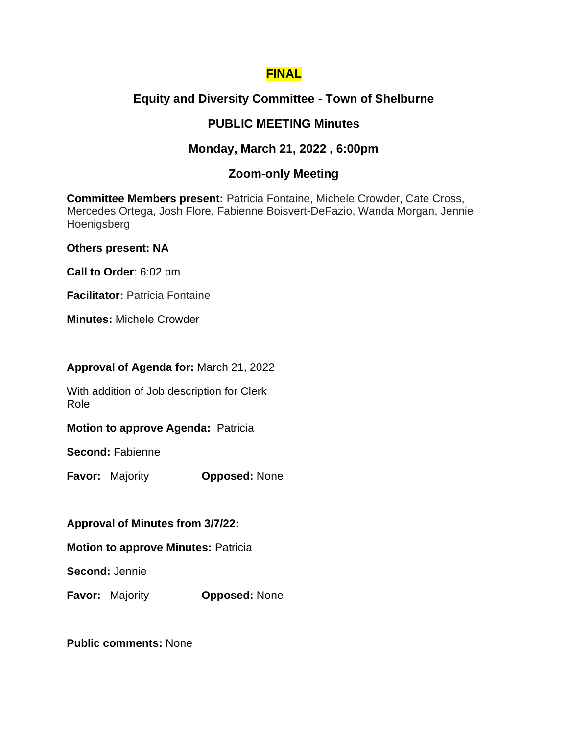## **FINAL**

# **Equity and Diversity Committee - Town of Shelburne**

# **PUBLIC MEETING Minutes**

## **Monday, March 21, 2022 , 6:00pm**

### **Zoom-only Meeting**

**Committee Members present:** Patricia Fontaine, Michele Crowder, Cate Cross, Mercedes Ortega, Josh Flore, Fabienne Boisvert-DeFazio, Wanda Morgan, Jennie Hoenigsberg

### **Others present: NA**

**Call to Order**: 6:02 pm

**Facilitator: Patricia Fontaine** 

**Minutes:** Michele Crowder

### **Approval of Agenda for:** March 21, 2022

With addition of Job description for Clerk Role

### **Motion to approve Agenda: Patricia**

**Second:** Fabienne

**Favor:** Majority **Opposed:** None

### **Approval of Minutes from 3/7/22:**

**Motion to approve Minutes:** Patricia

**Second:** Jennie

**Favor:** Majority **Opposed:** None

**Public comments:** None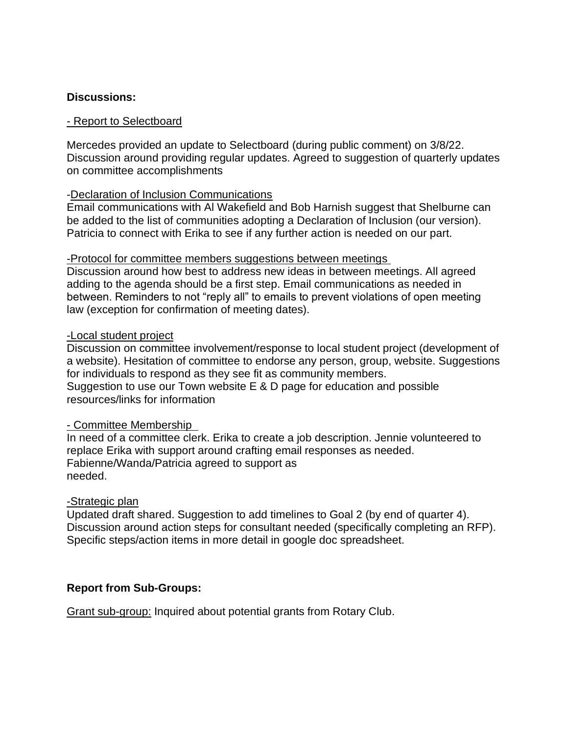### **Discussions:**

#### - Report to Selectboard

Mercedes provided an update to Selectboard (during public comment) on 3/8/22. Discussion around providing regular updates. Agreed to suggestion of quarterly updates on committee accomplishments

### -Declaration of Inclusion Communications

Email communications with Al Wakefield and Bob Harnish suggest that Shelburne can be added to the list of communities adopting a Declaration of Inclusion (our version). Patricia to connect with Erika to see if any further action is needed on our part.

#### -Protocol for committee members suggestions between meetings

Discussion around how best to address new ideas in between meetings. All agreed adding to the agenda should be a first step. Email communications as needed in between. Reminders to not "reply all" to emails to prevent violations of open meeting law (exception for confirmation of meeting dates).

#### -Local student project

Discussion on committee involvement/response to local student project (development of a website). Hesitation of committee to endorse any person, group, website. Suggestions for individuals to respond as they see fit as community members. Suggestion to use our Town website E & D page for education and possible resources/links for information

### - Committee Membership

In need of a committee clerk. Erika to create a job description. Jennie volunteered to replace Erika with support around crafting email responses as needed. Fabienne/Wanda/Patricia agreed to support as needed.

### -Strategic plan

Updated draft shared. Suggestion to add timelines to Goal 2 (by end of quarter 4). Discussion around action steps for consultant needed (specifically completing an RFP). Specific steps/action items in more detail in google doc spreadsheet.

### **Report from Sub-Groups:**

Grant sub-group: Inquired about potential grants from Rotary Club.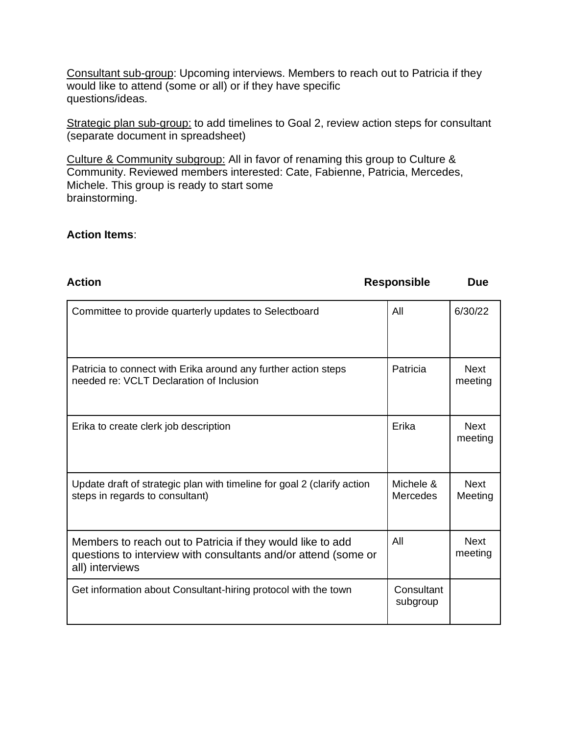Consultant sub-group: Upcoming interviews. Members to reach out to Patricia if they would like to attend (some or all) or if they have specific questions/ideas.

Strategic plan sub-group: to add timelines to Goal 2, review action steps for consultant (separate document in spreadsheet)

Culture & Community subgroup: All in favor of renaming this group to Culture & Community. Reviewed members interested: Cate, Fabienne, Patricia, Mercedes, Michele. This group is ready to start some brainstorming.

### **Action Items**:

| <b>Action</b>                                                                                                                                   | <b>Responsible</b>     | <b>Due</b>             |
|-------------------------------------------------------------------------------------------------------------------------------------------------|------------------------|------------------------|
| Committee to provide quarterly updates to Selectboard                                                                                           | All                    | 6/30/22                |
| Patricia to connect with Erika around any further action steps<br>needed re: VCLT Declaration of Inclusion                                      | Patricia               | <b>Next</b><br>meeting |
| Erika to create clerk job description                                                                                                           | Erika                  | <b>Next</b><br>meeting |
| Update draft of strategic plan with timeline for goal 2 (clarify action<br>steps in regards to consultant)                                      | Michele &<br>Mercedes  | <b>Next</b><br>Meeting |
| Members to reach out to Patricia if they would like to add<br>questions to interview with consultants and/or attend (some or<br>all) interviews | All                    | <b>Next</b><br>meeting |
| Get information about Consultant-hiring protocol with the town                                                                                  | Consultant<br>subgroup |                        |